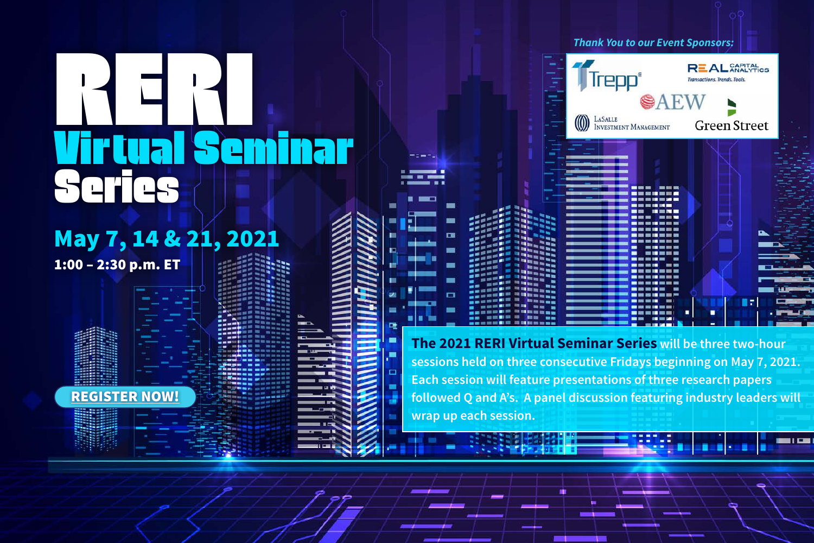# May 7, 14 & 21, 2021

1:00 – 2:30 p.m. ET

[REGISTER NOW!](https://us02web.zoom.us/webinar/register/WN_NRrchgGgRaKNWM7KFDMy0w)

▬  $\Box$ 

*Thank You to our Event Sponsors:* **REAL** CAPITAL **Trepp**® sactions. Trends. Tools. SAEW **MEASALLE**<br>INVESTMENT MANAGEMENT **Green Street**  $-100$ --------- $\blacksquare$  and the set  $- 50$  $\blacksquare = \blacksquare$ **LES BR Bandary Contract** -**END SER THE REAL PROPE Bit Mit BUILDER** . . . . . . **Burney**  $m = m$ 

**The 2021 RERI Virtual Seminar Series will be three two-hour sessions held on three consecutive Fridays beginning on May 7, 2021. Each session will feature presentations of three research papers followed Q and A's. A panel discussion featuring industry leaders will wrap up each session.**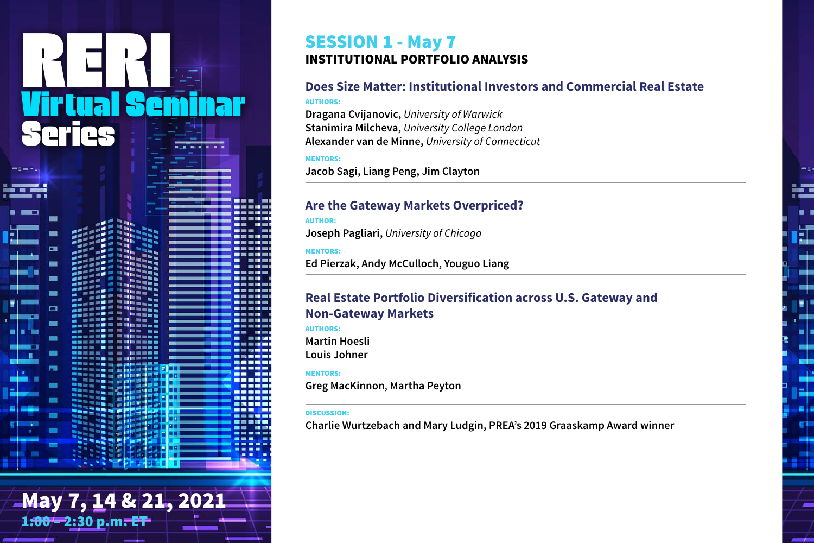# May 7, 14 & 21, 2021 1:00 – 2:30 p.m. ET

# SESSION 1 - May 7 INSTITUTIONAL PORTFOLIO ANALYSIS

# **Does Size Matter: Institutional Investors and Commercial Real Estate**

Œ

### AUTHORS:

**Dragana Cvijanovic,** *University of Warwick* **Stanimira Milcheva,** *University College London* **Alexander van de Minne,** *University of Connecticut*

## MENTORS:

**Jacob Sagi, Liang Peng, Jim Clayton**

# **Are the Gateway Markets Overpriced?**

### AUTHOR:

**Joseph Pagliari,** *University of Chicago*

# MENTORS:

**Ed Pierzak, Andy McCulloch, Youguo Liang**

# **Real Estate Portfolio Diversification across U.S. Gateway and Non-Gateway Markets**

AUTHORS: **Martin Hoesli Louis Johner**

# MENTORS:

**Greg MacKinnon**, **Martha Peyton**

### DISCUSSION:

**Charlie Wurtzebach and Mary Ludgin, PREA's 2019 Graaskamp Award winner**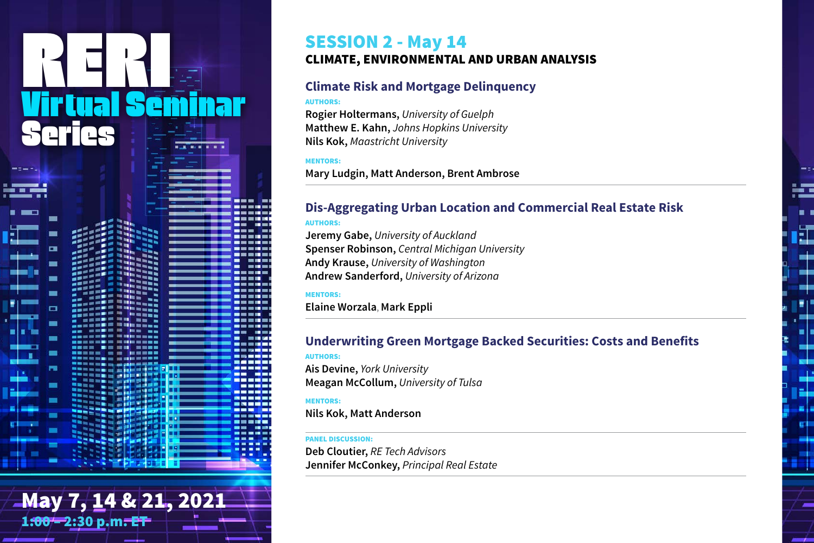# May 7, 14 & 21, 2021 1:00 – 2:30 p.m. ET

# SESSION 2 - May 14

# CLIMATE, ENVIRONMENTAL AND URBAN ANALYSIS

# **Climate Risk and Mortgage Delinquency**

### AUTHORS:

**Rogier Holtermans,** *University of Guelph* **Matthew E. Kahn,** *Johns Hopkins University* **Nils Kok,** *Maastricht University*

## MENTORS:

**Mary Ludgin, Matt Anderson, Brent Ambrose**

# **Dis-Aggregating Urban Location and Commercial Real Estate Risk**

Ē.

### AUTHORS:

**Jeremy Gabe,** *University of Auckland* **Spenser Robinson,** *Central Michigan University* **Andy Krause,** *University of Washington* **Andrew Sanderford,** *University of Arizona*

### MENTORS:

**Elaine Worzala**, **Mark Eppli**

# **Underwriting Green Mortgage Backed Securities: Costs and Benefits**

### AUTHORS:

**Ais Devine,** *York University* **Meagan McCollum,** *University of Tulsa*

### MENTORS:

**Nils Kok, Matt Anderson**

### PANEL DISCUSSION:

**Deb Cloutier,** *RE Tech Advisors* **Jennifer McConkey,** *Principal Real Estate*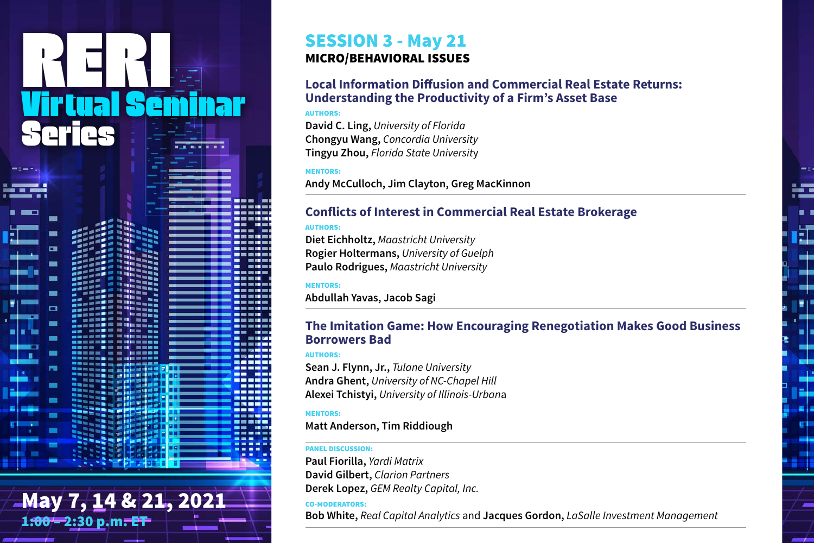# May 7, 14 & 21, 2021 1:00 – 2:30 p.m. ET

# SESSION 3 - May 21 MICRO/BEHAVIORAL ISSUES

# **Local Information Diffusion and Commercial Real Estate Returns: Understanding the Productivity of a Firm's Asset Base**

### AUTHORS:

**David C. Ling,** *University of Florida* **Chongyu Wang,** *Concordia University* **Tingyu Zhou,** *Florida State Universit*y

# MENTORS:

**Andy McCulloch, Jim Clayton, Greg MacKinnon**

# **Conflicts of Interest in Commercial Real Estate Brokerage**

# AUTHORS:

**Diet Eichholtz,** *Maastricht University* **Rogier Holtermans,** *University of Guelph* **Paulo Rodrigues,** *Maastricht University*

## MENTORS:

**Abdullah Yavas, Jacob Sagi**

# **The Imitation Game: How Encouraging Renegotiation Makes Good Business Borrowers Bad**

訌

### AUTHORS:

**Sean J. Flynn, Jr.,** *Tulane University* **Andra Ghent,** *University of NC-Chapel Hill* **Alexei Tchistyi,** *University of Illinois-Urban*a

## MENTORS:

# **Matt Anderson, Tim Riddiough**

### PANEL DISCUSSION:

**Paul Fiorilla,** *Yardi Matrix* **David Gilbert,** *Clarion Partners* **Derek Lopez,** *GEM Realty Capital, Inc.*

## CO-MODERATORS:

**Bob White,** *Real Capital Analytics* and **Jacques Gordon,** *LaSalle Investment Management*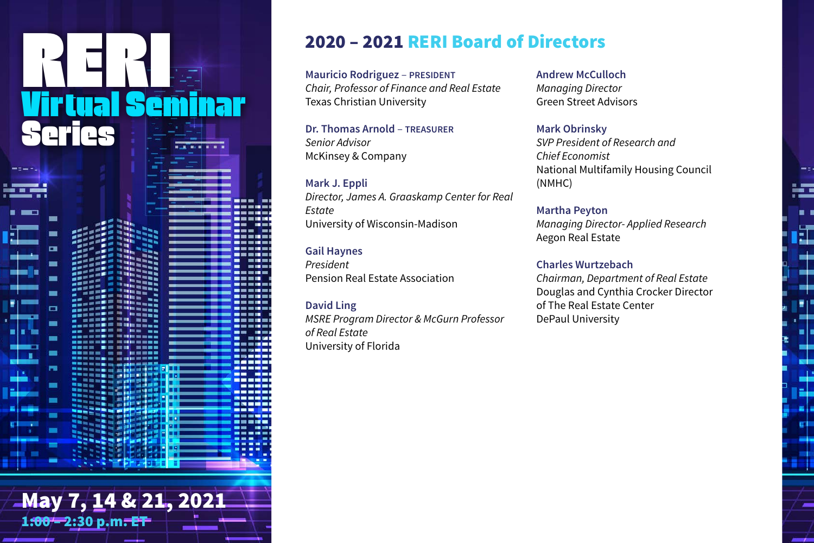# May 7, 14 & 21, 2021 1:00 – 2:30 p.m. ET

# 2020 – 2021 RERI Board of Directors

**Mauricio Rodriguez** – **PRESIDENT** *Chair, Professor of Finance and Real Estate* Texas Christian University

**Dr. Thomas Arnold** – **TREASURER** *Senior Advisor* McKinsey & Company

**Mark J. Eppli** *Director, James A. Graaskamp Center for Real Estate* University of Wisconsin-Madison

**Gail Haynes** *President* Pension Real Estate Association

**David Ling** *MSRE Program Director & McGurn Professor of Real Estate* University of Florida

**Andrew McCulloch** *Managing Director* Green Street Advisors

**Mark Obrinsky** *SVP President of Research and Chief Economist* National Multifamily Housing Council (NMHC)

÷

Ē.

 $\pm$ 

**Martha Peyton** *Managing Director- Applied Research* Aegon Real Estate

**Charles Wurtzebach** *Chairman, Department of Real Estate*

Douglas and Cynthia Crocker Director of The Real Estate Center DePaul University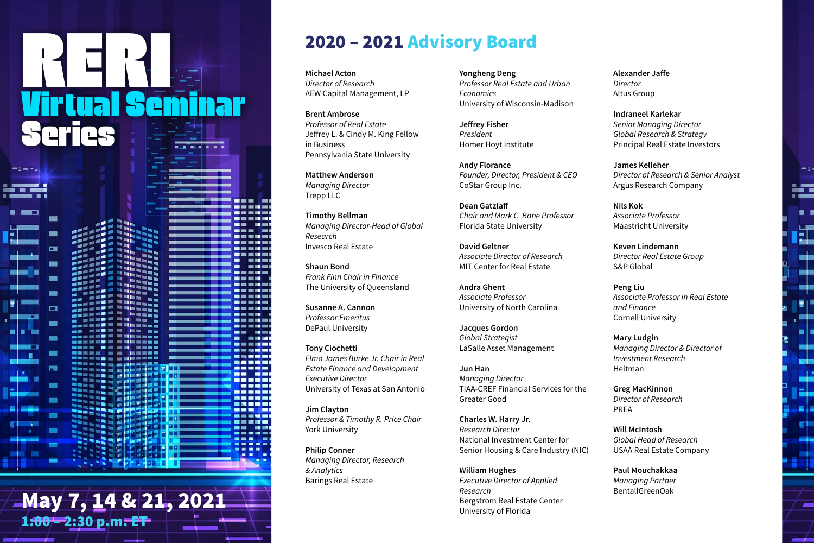# $\mathbf{May 7, 14. }$   $\mathbf{21, 2021}$   $\mathbf{1}$   $\mathbf{1}$   $\mathbf{1}$   $\mathbf{1}$   $\mathbf{1}$   $\mathbf{1}$   $\mathbf{1}$   $\mathbf{1}$   $\mathbf{1}$   $\mathbf{1}$   $\mathbf{1}$   $\mathbf{1}$   $\mathbf{1}$   $\mathbf{1}$   $\mathbf{1}$   $\mathbf{1}$   $\mathbf{1}$   $\mathbf{1}$   $\mathbf{1}$   $\mathbf{1}$   $\mathbf{1}$  1:00 – 2:30 p.m. ET

# 2020 – 2021 Advisory Board

**Michael Acton** *Director of Research* AEW Capital Management, LP

**Brent Ambrose** *Professor of Real Estate* Jeffrey L. & Cindy M. King Fellow in Business Pennsylvania State University

**Matthew Anderson** *Managing Director* Trepp LLC

**Timothy Bellman** *Managing Director-Head of Global Research* Invesco Real Estate

**Shaun Bond** *Frank Finn Chair in Finance* The University of Queensland

**Susanne A. Cannon** *Professor Emeritus* DePaul University

**Tony Ciochetti** *Elmo James Burke Jr. Chair in Real Estate Finance and Development Executive Director* University of Texas at San Antonio

**Jim Clayton** *Professor & Timothy R. Price Chair* York University

**Philip Conner** *Managing Director, Research & Analytics* Barings Real Estate

**Yongheng Deng** *Professor Real Estate and Urban Economics* University of Wisconsin-Madison

**Jeffrey Fisher** *President* Homer Hoyt Institute

**Andy Florance** *Founder, Director, President & CEO* CoStar Group Inc.

**Dean Gatzlaff** *Chair and Mark C. Bane Professor* Florida State University

**David Geltner** *Associate Director of Research* MIT Center for Real Estate

**Andra Ghent** *Associate Professor* University of North Carolina

**Jacques Gordon** *Global Strategist* LaSalle Asset Management

**Jun Han** *Managing Director* TIAA-CREF Financial Services for the Greater Good

**Charles W. Harry Jr.** *Research Director* National Investment Center for Senior Housing & Care Industry (NIC)

**William Hughes** *Executive Director of Applied Research* Bergstrom Real Estate Center University of Florida

**Alexander Jaffe** *Director* Altus Group

**Indraneel Karlekar** *Senior Managing Director Global Research & Strategy* Principal Real Estate Investors

**James Kelleher** *Director of Research & Senior Analyst* Argus Research Company

E

. .

Œ

 $\pm$ د به m

ي ل

ی زیر œ۳ a ka ٣.

**Nils Kok** *Associate Professor* Maastricht University

**Keven Lindemann** *Director Real Estate Group* S&P Global

**Peng Liu** *Associate Professor in Real Estate and Finance* Cornell University

**Mary Ludgin** *Managing Director & Director of Investment Research* Heitman

**Greg MacKinnon** *Director of Research* PREA

**Will McIntosh** *Global Head of Research* USAA Real Estate Company

**Paul Mouchakkaa** *Managing Partner*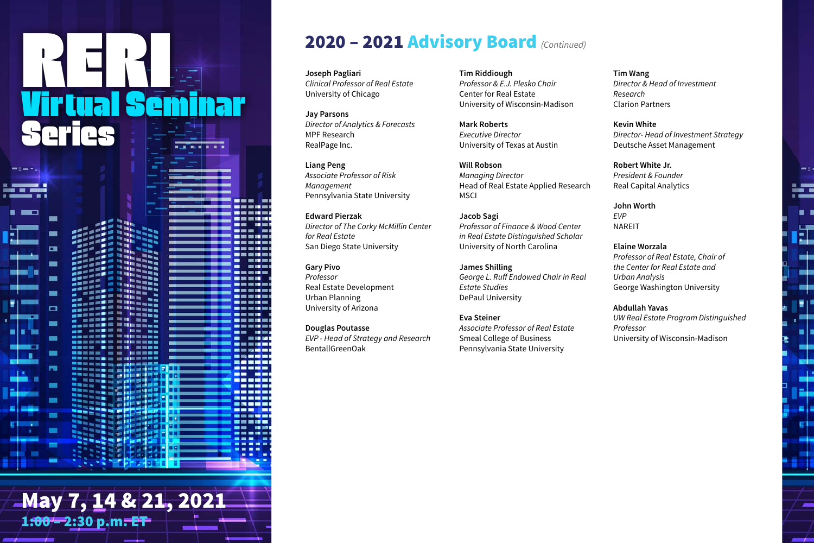# May 7, 14 & 21, 2021

1:00 – 2:30 p.m. ET

# 2020 – 2021 Advisory Board *(Continued)*

**Joseph Pagliari** *Clinical Professor of Real Estate* University of Chicago

**Jay Parsons** *Director of Analytics & Forecasts* MPF Research RealPage Inc.

**Liang Peng** *Associate Professor of Risk Management* Pennsylvania State University

**Edward Pierzak** *Director of The Corky McMillin Center for Real Estate* San Diego State University

**Gary Pivo** *Professor* Real Estate Development Urban Planning University of Arizona

**Douglas Poutasse** *EVP - Head of Strategy and Research* BentallGreenOak

**Tim Riddiough** *Professor & E.J. Plesko Chair* Center for Real Estate University of Wisconsin-Madison

**Mark Roberts** *Executive Director* University of Texas at Austin

**Will Robson** *Managing Director* Head of Real Estate Applied Research **MSCI** 

**Jacob Sagi** *Professor of Finance & Wood Center in Real Estate Distinguished Scholar* University of North Carolina

**James Shilling** *George L. Ruff Endowed Chair in Real Estate Studies* DePaul University

**Eva Steiner** *Associate Professor of Real Estate* Smeal College of Business Pennsylvania State University

**Tim Wang** *Director & Head of Investment Research* Clarion Partners

**Kevin White** *Director- Head of Investment Strategy* Deutsche Asset Management

E

Œ

 $\pm$ œ۱ -

ي ل

د زه داده - 1 ٣.

**Robert White Jr.** *President & Founder* Real Capital Analytics

**John Worth** *EVP* NAREIT

**Elaine Worzala** *Professor of Real Estate, Chair of the Center for Real Estate and Urban Analysis* George Washington University

**Abdullah Yavas** *UW Real Estate Program Distinguished Professor* University of Wisconsin-Madison